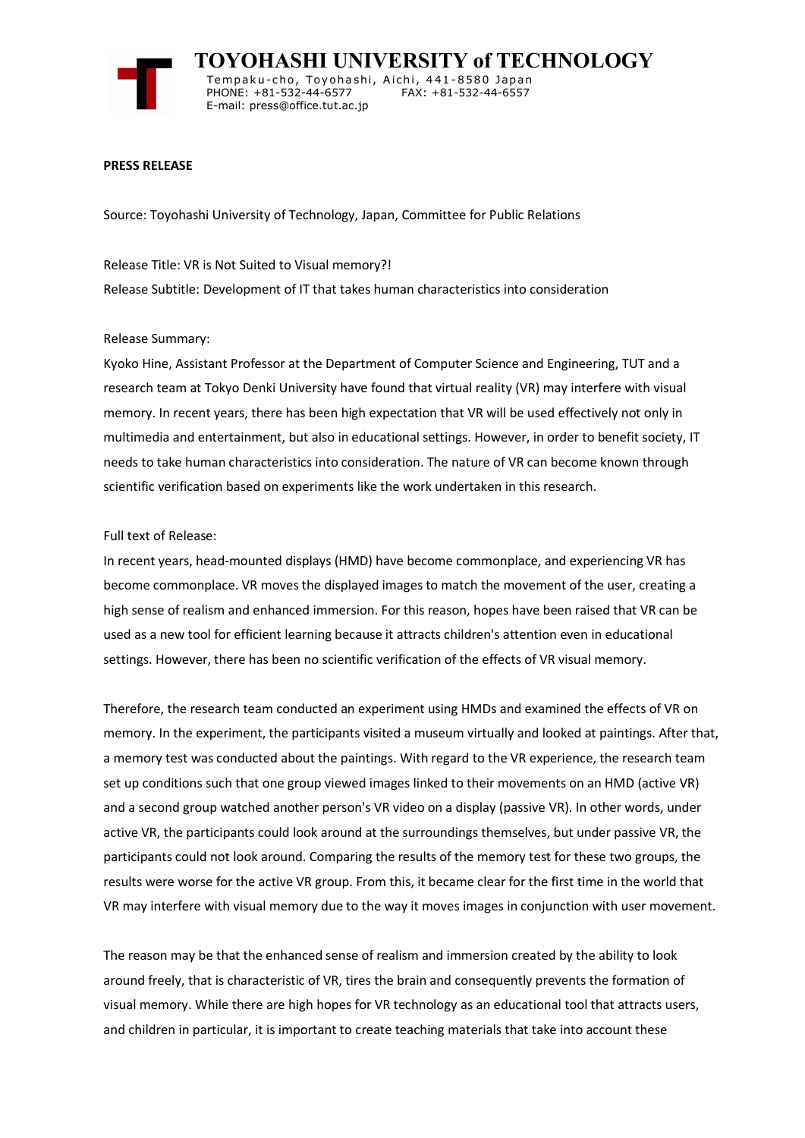

 **TOYOHASHI UNIVERSITY of TECHNOLOGY** Tempaku-cho, Toyohashi, Aichi, 441-8580 Japan<br>PHONE: +81-532-44-6577 FAX: +81-532-44-6557 PHONE: +81-532-44-6577 E-mail: press@office.tut.ac.jp

## **PRESS RELEASE**

Source: Toyohashi University of Technology, Japan, Committee for Public Relations

Release Title: VR is Not Suited to Visual memory?! Release Subtitle: Development of IT that takes human characteristics into consideration

## Release Summary:

Kyoko Hine, Assistant Professor at the Department of Computer Science and Engineering, TUT and a research team at Tokyo Denki University have found that virtual reality (VR) may interfere with visual memory. In recent years, there has been high expectation that VR will be used effectively not only in multimedia and entertainment, but also in educational settings. However, in order to benefit society, IT needs to take human characteristics into consideration. The nature of VR can become known through scientific verification based on experiments like the work undertaken in this research.

## Full text of Release:

In recent years, head-mounted displays (HMD) have become commonplace, and experiencing VR has become commonplace. VR moves the displayed images to match the movement of the user, creating a high sense of realism and enhanced immersion. For this reason, hopes have been raised that VR can be used as a new tool for efficient learning because it attracts children's attention even in educational settings. However, there has been no scientific verification of the effects of VR visual memory.

Therefore, the research team conducted an experiment using HMDs and examined the effects of VR on memory. In the experiment, the participants visited a museum virtually and looked at paintings. After that, a memory test was conducted about the paintings. With regard to the VR experience, the research team set up conditions such that one group viewed images linked to their movements on an HMD (active VR) and a second group watched another person's VR video on a display (passive VR). In other words, under active VR, the participants could look around at the surroundings themselves, but under passive VR, the participants could not look around. Comparing the results of the memory test for these two groups, the results were worse for the active VR group. From this, it became clear for the first time in the world that VR may interfere with visual memory due to the way it moves images in conjunction with user movement.

The reason may be that the enhanced sense of realism and immersion created by the ability to look around freely, that is characteristic of VR, tires the brain and consequently prevents the formation of visual memory. While there are high hopes for VR technology as an educational tool that attracts users, and children in particular, it is important to create teaching materials that take into account these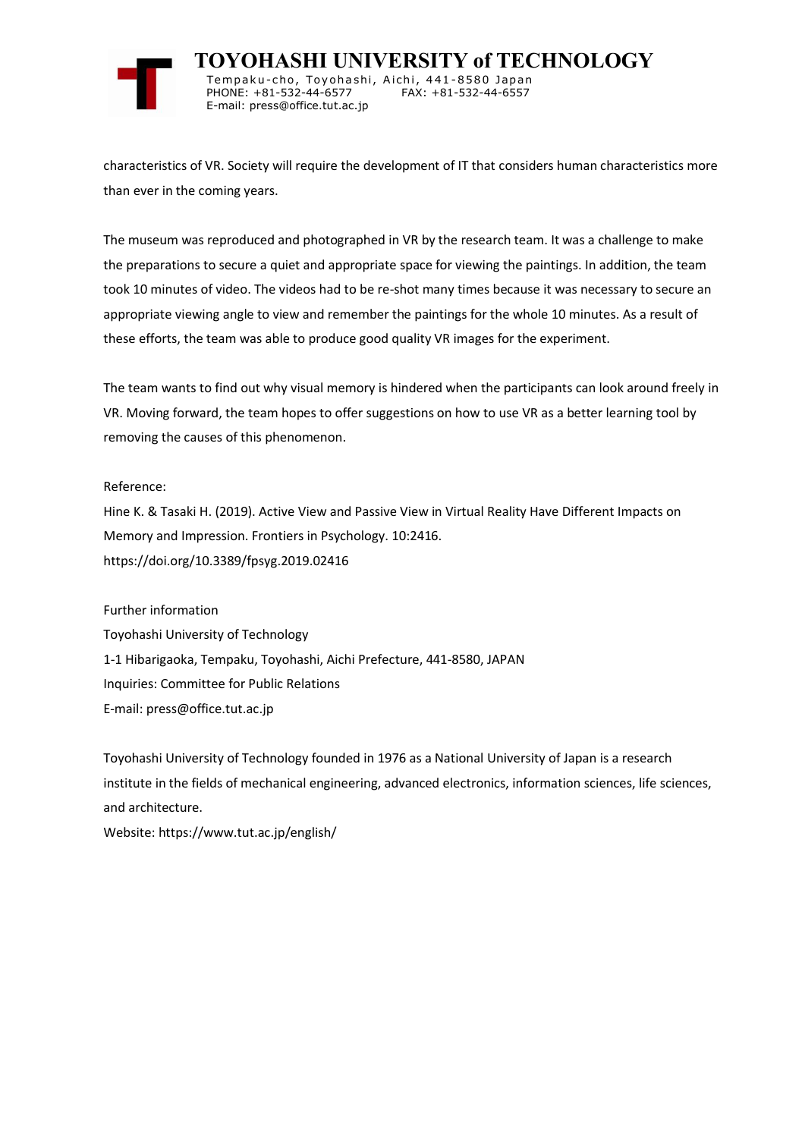

 **TOYOHASHI UNIVERSITY of TECHNOLOGY** Tempaku-cho, Toyohashi, Aichi, 441-8580 Japan<br>PHONE: +81-532-44-6577 FAX: +81-532-44-6557 PHONE: +81-532-44-6577 E-mail: press@office.tut.ac.jp

characteristics of VR. Society will require the development of IT that considers human characteristics more than ever in the coming years.

The museum was reproduced and photographed in VR by the research team. It was a challenge to make the preparations to secure a quiet and appropriate space for viewing the paintings. In addition, the team took 10 minutes of video. The videos had to be re-shot many times because it was necessary to secure an appropriate viewing angle to view and remember the paintings for the whole 10 minutes. As a result of these efforts, the team was able to produce good quality VR images for the experiment.

The team wants to find out why visual memory is hindered when the participants can look around freely in VR. Moving forward, the team hopes to offer suggestions on how to use VR as a better learning tool by removing the causes of this phenomenon.

## Reference:

Hine K. & Tasaki H. (2019). Active View and Passive View in Virtual Reality Have Different Impacts on Memory and Impression. Frontiers in Psychology. 10:2416. https://doi.org/10.3389/fpsyg.2019.02416

Further information Toyohashi University of Technology 1-1 Hibarigaoka, Tempaku, Toyohashi, Aichi Prefecture, 441-8580, JAPAN Inquiries: Committee for Public Relations E-mail: press@office.tut.ac.jp

Toyohashi University of Technology founded in 1976 as a National University of Japan is a research institute in the fields of mechanical engineering, advanced electronics, information sciences, life sciences, and architecture.

Website: https://www.tut.ac.jp/english/